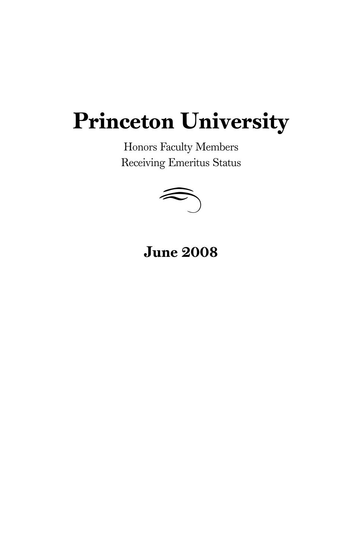## Princeton University

Honors Faculty Members



June 2008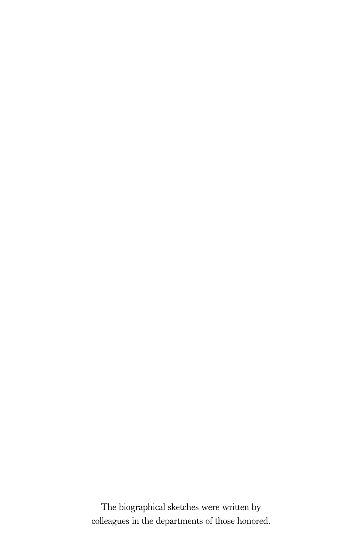The biographical sketches were written by colleagues in the departments of those honored.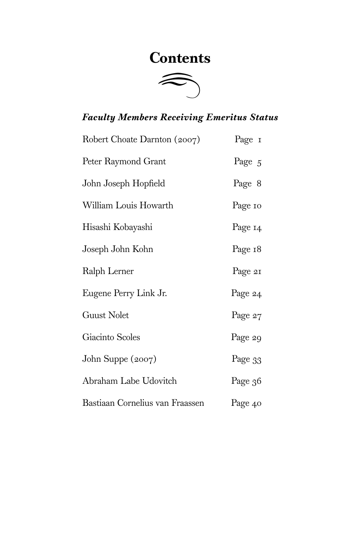## **Contents**



## *Faculty Members Receiving Emeritus Status*

| Robert Choate Darnton (2007)    | Page 1  |
|---------------------------------|---------|
| Peter Raymond Grant             | Page 5  |
| John Joseph Hopfield            | Page 8  |
| William Louis Howarth           | Page 10 |
| Hisashi Kobayashi               | Page 14 |
| Joseph John Kohn                | Page 18 |
| Ralph Lerner                    | Page 21 |
| Eugene Perry Link Jr.           | Page 24 |
| <b>Guust Nolet</b>              | Page 27 |
| Giacinto Scoles                 | Page 29 |
| John Suppe (2007)               | Page 33 |
| Abraham Labe Udovitch           | Page 36 |
| Bastiaan Cornelius van Fraassen | Page 40 |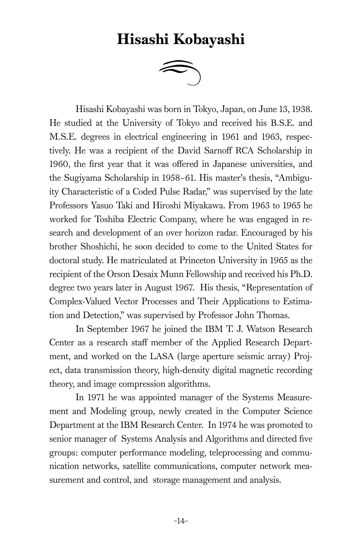## Hisashi Kobayashi d



Hisashi Kobayashi was born in Tokyo, Japan, on June 13, 1938. He studied at the University of Tokyo and received his B.S.E. and M.S.E. degrees in electrical engineering in 1961 and 1963, respectively. He was a recipient of the David Sarnoff RCA Scholarship in 1960, the first year that it was offered in Japanese universities, and the Sugiyama Scholarship in 1958–61. His master's thesis, "Ambiguity Characteristic of a Coded Pulse Radar," was supervised by the late Professors Yasuo Taki and Hiroshi Miyakawa. From 1963 to 1965 he worked for Toshiba Electric Company, where he was engaged in research and development of an over horizon radar. Encouraged by his brother Shoshichi, he soon decided to come to the United States for doctoral study. He matriculated at Princeton University in 1965 as the recipient of the Orson Desaix Munn Fellowship and received his Ph.D. degree two years later in August 1967. His thesis, "Representation of Complex-Valued Vector Processes and Their Applications to Estimation and Detection," was supervised by Professor John Thomas.

In September 1967 he joined the IBM T. J. Watson Research Center as a research staff member of the Applied Research Department, and worked on the LASA (large aperture seismic array) Project, data transmission theory, high-density digital magnetic recording theory, and image compression algorithms.

In 1971 he was appointed manager of the Systems Measurement and Modeling group, newly created in the Computer Science Department at the IBM Research Center. In 1974 he was promoted to senior manager of Systems Analysis and Algorithms and directed five groups: computer performance modeling, teleprocessing and communication networks, satellite communications, computer network measurement and control, and storage management and analysis.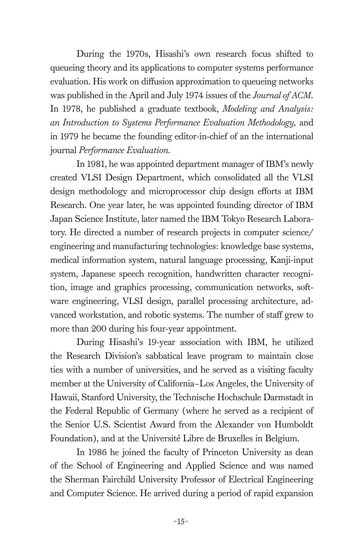During the 1970s, Hisashi's own research focus shifted to queueing theory and its applications to computer systems performance evaluation. His work on diffusion approximation to queueing networks was published in the April and July 1974 issues of the *Journal of ACM.* In 1978, he published a graduate textbook, *Modeling and Analysis: an Introduction to Systems Performance Evaluation Methodology,* and in 1979 he became the founding editor-in-chief of an the international journal *Performance Evaluation.*

In 1981, he was appointed department manager of IBM's newly created VLSI Design Department, which consolidated all the VLSI design methodology and microprocessor chip design efforts at IBM Research. One year later, he was appointed founding director of IBM Japan Science Institute, later named the IBM Tokyo Research Laboratory. He directed a number of research projects in computer science/ engineering and manufacturing technologies: knowledge base systems, medical information system, natural language processing, Kanji-input system, Japanese speech recognition, handwritten character recognition, image and graphics processing, communication networks, software engineering, VLSI design, parallel processing architecture, advanced workstation, and robotic systems. The number of staff grew to more than 200 during his four-year appointment.

During Hisashi's 19-year association with IBM, he utilized the Research Division's sabbatical leave program to maintain close ties with a number of universities, and he served as a visiting faculty member at the University of California–Los Angeles, the University of Hawaii, Stanford University, the Technische Hochschule Darmstadt in the Federal Republic of Germany (where he served as a recipient of the Senior U.S. Scientist Award from the Alexander von Humboldt Foundation), and at the Université Libre de Bruxelles in Belgium.

In 1986 he joined the faculty of Princeton University as dean of the School of Engineering and Applied Science and was named the Sherman Fairchild University Professor of Electrical Engineering and Computer Science. He arrived during a period of rapid expansion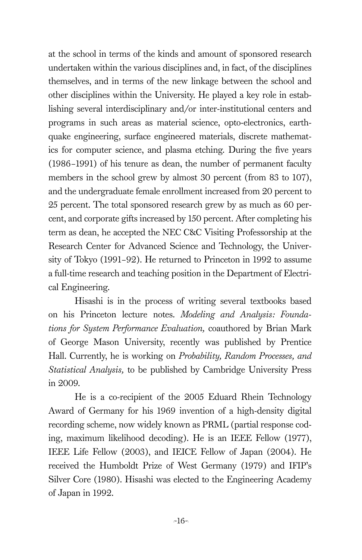at the school in terms of the kinds and amount of sponsored research undertaken within the various disciplines and, in fact, of the disciplines themselves, and in terms of the new linkage between the school and other disciplines within the University. He played a key role in establishing several interdisciplinary and/or inter-institutional centers and programs in such areas as material science, opto-electronics, earthquake engineering, surface engineered materials, discrete mathematics for computer science, and plasma etching. During the five years (1986–1991) of his tenure as dean, the number of permanent faculty members in the school grew by almost 30 percent (from 83 to 107), and the undergraduate female enrollment increased from 20 percent to 25 percent. The total sponsored research grew by as much as 60 percent, and corporate gifts increased by 150 percent. After completing his term as dean, he accepted the NEC C&C Visiting Professorship at the Research Center for Advanced Science and Technology, the University of Tokyo (1991–92). He returned to Princeton in 1992 to assume a full-time research and teaching position in the Department of Electrical Engineering.

Hisashi is in the process of writing several textbooks based on his Princeton lecture notes. *Modeling and Analysis: Foundations for System Performance Evaluation,* coauthored by Brian Mark of George Mason University, recently was published by Prentice Hall. Currently, he is working on *Probability, Random Processes, and Statistical Analysis,* to be published by Cambridge University Press in 2009.

He is a co-recipient of the 2005 Eduard Rhein Technology Award of Germany for his 1969 invention of a high-density digital recording scheme, now widely known as PRML (partial response coding, maximum likelihood decoding). He is an IEEE Fellow (1977), IEEE Life Fellow (2003), and IEICE Fellow of Japan (2004). He received the Humboldt Prize of West Germany (1979) and IFIP's Silver Core (1980). Hisashi was elected to the Engineering Academy of Japan in 1992.